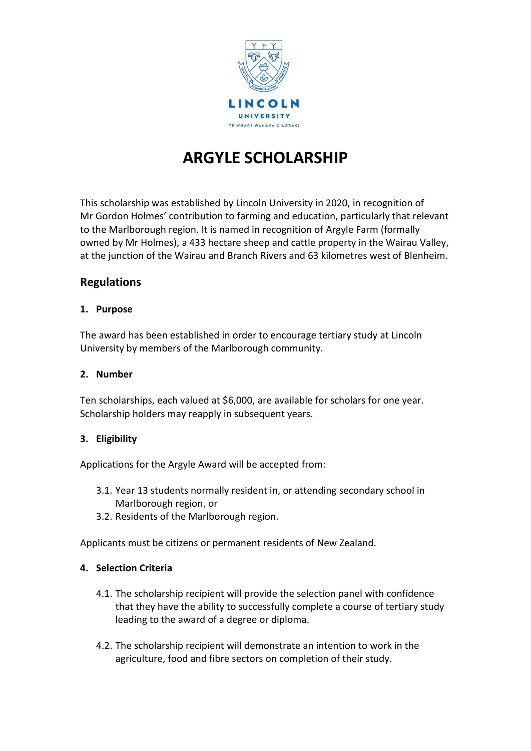

# **ARGYLE SCHOLARSHIP**

This scholarship was established by Lincoln University in 2020, in recognition of Mr Gordon Holmes' contribution to farming and education, particularly that relevant to the Marlborough region. It is named in recognition of Argyle Farm (formally owned by Mr Holmes), a 433 hectare sheep and cattle property in the Wairau Valley, at the junction of the Wairau and Branch Rivers and 63 kilometres west of Blenheim.

# **Regulations**

### **1. Purpose**

The award has been established in order to encourage tertiary study at Lincoln University by members of the Marlborough community.

# **2. Number**

Ten scholarships, each valued at \$6,000, are available for scholars for one year. Scholarship holders may reapply in subsequent years.

# **3. Eligibility**

Applications for the Argyle Award will be accepted from:

- 3.1. Year 13 students normally resident in, or attending secondary school in Marlborough region, or
- 3.2. Residents of the Marlborough region.

Applicants must be citizens or permanent residents of New Zealand.

#### **4. Selection Criteria**

- 4.1. The scholarship recipient will provide the selection panel with confidence that they have the ability to successfully complete a course of tertiary study leading to the award of a degree or diploma.
- 4.2. The scholarship recipient will demonstrate an intention to work in the agriculture, food and fibre sectors on completion of their study.